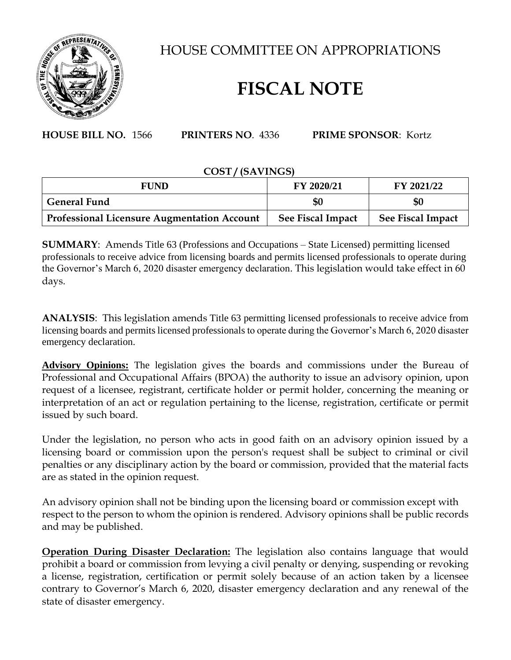

HOUSE COMMITTEE ON APPROPRIATIONS

## **FISCAL NOTE**

**HOUSE BILL NO.** 1566 **PRINTERS NO**. 4336 **PRIME SPONSOR**: Kortz

## **COST / (SAVINGS)**

| <b>FUND</b>                                        | FY 2020/21        | FY 2021/22        |
|----------------------------------------------------|-------------------|-------------------|
| <b>General Fund</b>                                | \$0               | \$0               |
| <b>Professional Licensure Augmentation Account</b> | See Fiscal Impact | See Fiscal Impact |

**SUMMARY**: Amends Title 63 (Professions and Occupations – State Licensed) permitting licensed professionals to receive advice from licensing boards and permits licensed professionals to operate during the Governor's March 6, 2020 disaster emergency declaration. This legislation would take effect in 60 days.

**ANALYSIS**: This legislation amends Title 63 permitting licensed professionals to receive advice from licensing boards and permits licensed professionals to operate during the Governor's March 6, 2020 disaster emergency declaration.

**Advisory Opinions:** The legislation gives the boards and commissions under the Bureau of Professional and Occupational Affairs (BPOA) the authority to issue an advisory opinion, upon request of a licensee, registrant, certificate holder or permit holder, concerning the meaning or interpretation of an act or regulation pertaining to the license, registration, certificate or permit issued by such board.

Under the legislation, no person who acts in good faith on an advisory opinion issued by a licensing board or commission upon the person's request shall be subject to criminal or civil penalties or any disciplinary action by the board or commission, provided that the material facts are as stated in the opinion request.

An advisory opinion shall not be binding upon the licensing board or commission except with respect to the person to whom the opinion is rendered. Advisory opinions shall be public records and may be published.

**Operation During Disaster Declaration:** The legislation also contains language that would prohibit a board or commission from levying a civil penalty or denying, suspending or revoking a license, registration, certification or permit solely because of an action taken by a licensee contrary to Governor's March 6, 2020, disaster emergency declaration and any renewal of the state of disaster emergency.